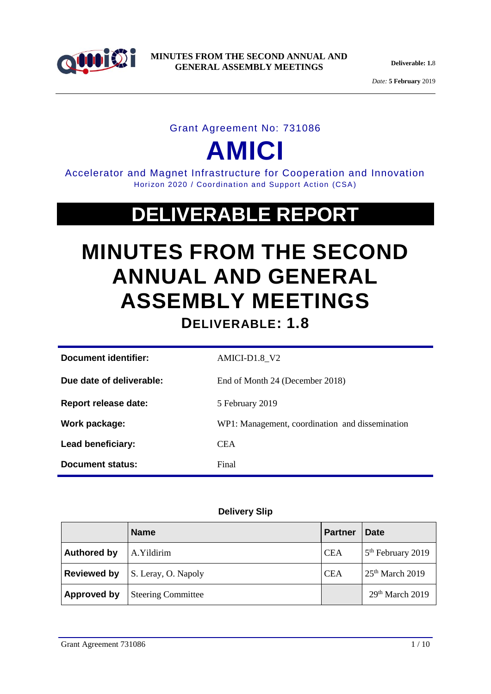

*Date:* **5 February** 2019

### Grant Agreement No: 731086

# **AMICI**

Accelerator and Magnet Infrastructure for Cooperation and Innovation Horizon 2020 / Coordination and Support Action (CSA)

## **DELIVERABLE REPORT**

## **MINUTES FROM THE SECOND ANNUAL AND GENERAL ASSEMBLY MEETINGS**

**DELIVERABLE: 1.8**

| Document identifier:        | AMICI-D1.8 V2                                   |
|-----------------------------|-------------------------------------------------|
| Due date of deliverable:    | End of Month 24 (December 2018)                 |
| <b>Report release date:</b> | 5 February 2019                                 |
| Work package:               | WP1: Management, coordination and dissemination |
| Lead beneficiary:           | <b>CEA</b>                                      |
| Document status:            | Final                                           |

#### **Delivery Slip**

|                    | <b>Name</b>               | <b>Partner</b> | <b>Date</b>                   |
|--------------------|---------------------------|----------------|-------------------------------|
| <b>Authored by</b> | A.Yildirim                | <b>CEA</b>     | 5 <sup>th</sup> February 2019 |
| <b>Reviewed by</b> | S. Leray, O. Napoly       | <b>CEA</b>     | $25th$ March 2019             |
| Approved by        | <b>Steering Committee</b> |                | 29 <sup>th</sup> March 2019   |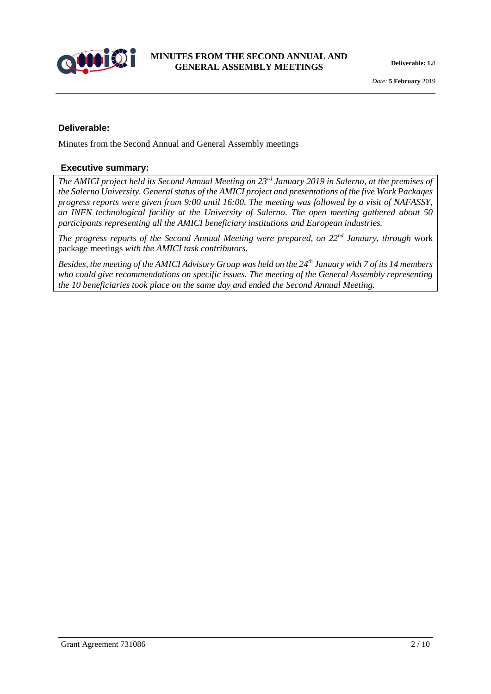

#### **Deliverable:**

Minutes from the Second Annual and General Assembly meetings

#### **Executive summary:**

*The AMICI project held its Second Annual Meeting on 23rd January 2019 in Salerno, at the premises of the Salerno University. General status of the AMICI project and presentations of the five Work Packages progress reports were given from 9:00 until 16:00. The meeting was followed by a visit of NAFASSY, an INFN technological facility at the University of Salerno. The open meeting gathered about 50 participants representing all the AMICI beneficiary institutions and European industries.* 

*The progress reports of the Second Annual Meeting were prepared, on 22nd January, through* work package meetings *with the AMICI task contributors.* 

*Besides, the meeting of the AMICI Advisory Group was held on the 24th January with 7 of its 14 members who could give recommendations on specific issues. The meeting of the General Assembly representing the 10 beneficiaries took place on the same day and ended the Second Annual Meeting.*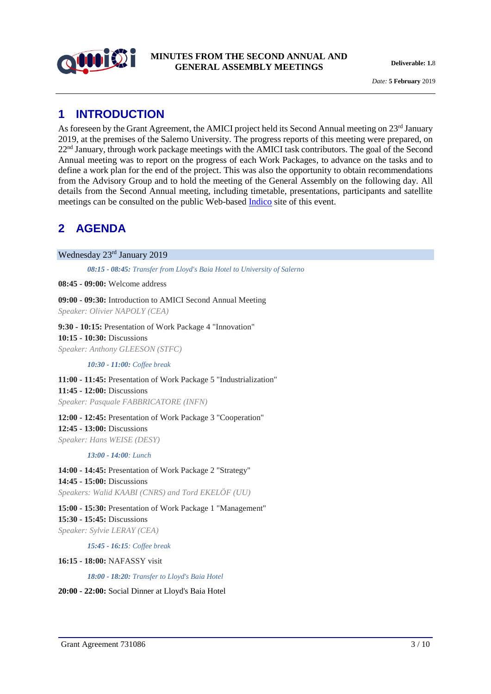

*Date:* **5 February** 2019

## **1 INTRODUCTION**

As foreseen by the Grant Agreement, the AMICI project held its Second Annual meeting on 23<sup>rd</sup> January 2019, at the premises of the Salerno University. The progress reports of this meeting were prepared, on 22<sup>nd</sup> January, through work package meetings with the AMICI task contributors. The goal of the Second Annual meeting was to report on the progress of each Work Packages, to advance on the tasks and to define a work plan for the end of the project. This was also the opportunity to obtain recommendations from the Advisory Group and to hold the meeting of the General Assembly on the following day. All details from the Second Annual meeting, including timetable, presentations, participants and satellite meetings can be consulted on the public Web-based [Indico](https://agenda.infn.it/event/16918/) site of this event.

## **2 AGENDA**

Wednesday 23rd January 2019

*08:15 - 08:45: Transfer from Lloyd's Baia Hotel to University of Salerno*

**08:45 - 09:00:** Welcome address

**09:00 - 09:30:** Introduction to AMICI Second Annual Meeting *Speaker: Olivier NAPOLY (CEA)*

**9:30 - 10:15:** Presentation of Work Package 4 "Innovation" **10:15 - 10:30:** Discussions *Speaker: Anthony GLEESON (STFC)*

*10:30 - 11:00: Coffee break*

**11:00 - 11:45:** Presentation of Work Package 5 "Industrialization" **11:45 - 12:00:** Discussions *Speaker: Pasquale FABBRICATORE (INFN)*

**12:00 - 12:45:** Presentation of Work Package 3 "Cooperation" **12:45 - 13:00:** Discussions *Speaker: Hans WEISE (DESY)*

#### *13:00 - 14:00: Lunch*

**14:00 - 14:45:** Presentation of Work Package 2 "Strategy" **14:45 - 15:00:** Discussions *Speakers: Walid KAABI (CNRS) and Tord EKELÖF (UU)*

**15:00 - 15:30:** Presentation of Work Package 1 "Management" **15:30 - 15:45:** Discussions *Speaker: Sylvie LERAY (CEA)*

*15:45 - 16:15: Coffee break*

**16:15 - 18:00:** NAFASSY visit

*18:00 - 18:20: Transfer to Lloyd's Baia Hotel*

**20:00 - 22:00:** Social Dinner at Lloyd's Baia Hotel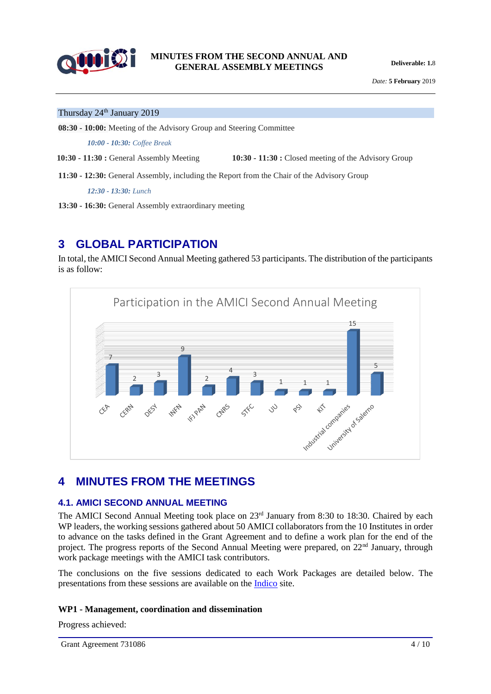

*Date:* **5 February** 2019

#### Thursday 24<sup>th</sup> January 2019

**08:30 - 10:00:** Meeting of the Advisory Group and Steering Committee

*10:00 - 10:30: Coffee Break*

**10:30 - 11:30 :** General Assembly Meeting **10:30 - 11:30 :** Closed meeting of the Advisory Group

**11:30 - 12:30:** General Assembly, including the Report from the Chair of the Advisory Group

*12:30 - 13:30: Lunch*

**13:30 - 16:30:** General Assembly extraordinary meeting

### **3 GLOBAL PARTICIPATION**

In total, the AMICI Second Annual Meeting gathered 53 participants. The distribution of the participants is as follow:



### **4 MINUTES FROM THE MEETINGS**

#### **4.1. AMICI SECOND ANNUAL MEETING**

The AMICI Second Annual Meeting took place on 23<sup>rd</sup> January from 8:30 to 18:30. Chaired by each WP leaders, the working sessions gathered about 50 AMICI collaborators from the 10 Institutes in order to advance on the tasks defined in the Grant Agreement and to define a work plan for the end of the project. The progress reports of the Second Annual Meeting were prepared, on 22<sup>nd</sup> January, through work package meetings with the AMICI task contributors.

The conclusions on the five sessions dedicated to each Work Packages are detailed below. The presentations from these sessions are available on the [Indico](https://agenda.infn.it/event/16918/timetable/#20190123) site.

#### **WP1 - Management, coordination and dissemination**

Progress achieved: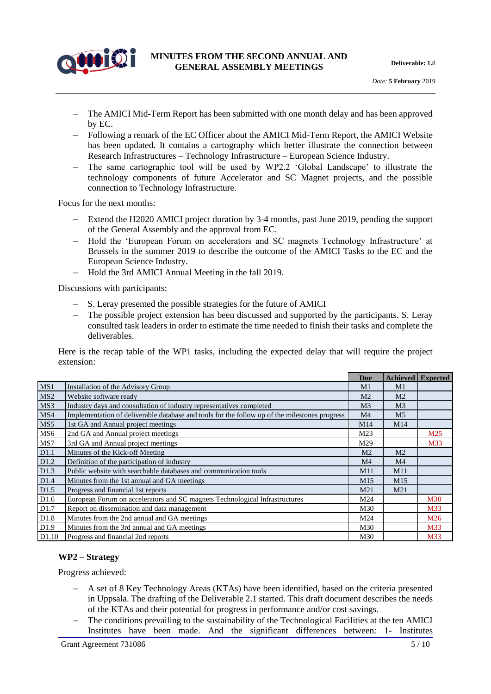

- The AMICI Mid-Term Report has been submitted with one month delay and has been approved by EC.
- Following a remark of the EC Officer about the AMICI Mid-Term Report, the AMICI Website has been updated. It contains a cartography which better illustrate the connection between Research Infrastructures – Technology Infrastructure – European Science Industry.
- The same cartographic tool will be used by WP2.2 'Global Landscape' to illustrate the technology components of future Accelerator and SC Magnet projects, and the possible connection to Technology Infrastructure.

Focus for the next months:

- Extend the H2020 AMICI project duration by 3-4 months, past June 2019, pending the support of the General Assembly and the approval from EC.
- Hold the 'European Forum on accelerators and SC magnets Technology Infrastructure' at Brussels in the summer 2019 to describe the outcome of the AMICI Tasks to the EC and the European Science Industry.
- Hold the 3rd AMICI Annual Meeting in the fall 2019.

Discussions with participants:

- S. Leray presented the possible strategies for the future of AMICI
- The possible project extension has been discussed and supported by the participants. S. Leray consulted task leaders in order to estimate the time needed to finish their tasks and complete the deliverables.

Here is the recap table of the WP1 tasks, including the expected delay that will require the project extension:

|                  |                                                                                               | Due             | <b>Achieved</b> | <b>Expected</b> |
|------------------|-----------------------------------------------------------------------------------------------|-----------------|-----------------|-----------------|
| MS1              | Installation of the Advisory Group                                                            | M1              | M1              |                 |
| MS <sub>2</sub>  | Website software ready                                                                        | M <sub>2</sub>  | M <sub>2</sub>  |                 |
| MS3              | Industry days and consultation of industry representatives completed                          | M <sub>3</sub>  | M <sub>3</sub>  |                 |
| MS4              | Implementation of deliverable database and tools for the follow up of the milestones progress | M <sub>4</sub>  | M <sub>5</sub>  |                 |
| MS5              | 1st GA and Annual project meetings                                                            | M14             | M14             |                 |
| MS <sub>6</sub>  | 2nd GA and Annual project meetings                                                            | M23             |                 | M25             |
| MS7              | 3rd GA and Annual project meetings                                                            | M29             |                 | M33             |
| D1.1             | Minutes of the Kick-off Meeting                                                               | M <sub>2</sub>  | M <sub>2</sub>  |                 |
| D1.2             | Definition of the participation of industry                                                   | M4              | M <sub>4</sub>  |                 |
| D1.3             | Public website with searchable databases and communication tools                              | M11             | M11             |                 |
| D <sub>1.4</sub> | Minutes from the 1st annual and GA meetings                                                   | M <sub>15</sub> | M <sub>15</sub> |                 |
| D1.5             | Progress and financial 1st reports                                                            | M <sub>21</sub> | M <sub>21</sub> |                 |
| D <sub>1.6</sub> | European Forum on accelerators and SC magnets Technological Infrastructures                   | M24             |                 | <b>M30</b>      |
| D1.7             | Report on dissemination and data management                                                   | M30             |                 | M33             |
| D1.8             | Minutes from the 2nd annual and GA meetings                                                   | M24             |                 | M <sub>26</sub> |
| D <sub>1.9</sub> | Minutes from the 3rd annual and GA meetings                                                   | M30             |                 | M33             |
| D1.10            | Progress and financial 2nd reports                                                            | M30             |                 | M33             |

#### **WP2 – Strategy**

Progress achieved:

- A set of 8 Key Technology Areas (KTAs) have been identified, based on the criteria presented in Uppsala. The drafting of the Deliverable 2.1 started. This draft document describes the needs of the KTAs and their potential for progress in performance and/or cost savings.
- The conditions prevailing to the sustainability of the Technological Facilities at the ten AMICI Institutes have been made. And the significant differences between: 1- Institutes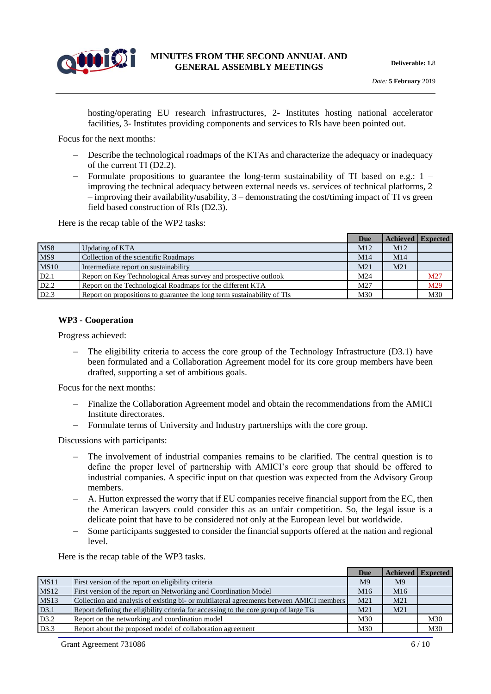

hosting/operating EU research infrastructures, 2- Institutes hosting national accelerator facilities, 3- Institutes providing components and services to RIs have been pointed out.

Focus for the next months:

- Describe the technological roadmaps of the KTAs and characterize the adequacy or inadequacy of the current TI (D2.2).
- Formulate propositions to guarantee the long-term sustainability of TI based on e.g.:  $1$ improving the technical adequacy between external needs vs. services of technical platforms, 2  $-$  improving their availability/usability,  $3$  – demonstrating the cost/timing impact of TI vs green field based construction of RIs (D2.3).

Here is the recap table of the WP2 tasks:

|                  |                                                                         | Due             |                 | Achieved Expected |
|------------------|-------------------------------------------------------------------------|-----------------|-----------------|-------------------|
| MS8              | Updating of KTA                                                         | M <sub>12</sub> | M <sub>12</sub> |                   |
| MS9              | Collection of the scientific Roadmaps                                   | M14             | M14             |                   |
| <b>MS10</b>      | Intermediate report on sustainability                                   | M21             | M21             |                   |
| D2.1             | Report on Key Technological Areas survey and prospective outlook        | M24             |                 | M27               |
| D <sub>2.2</sub> | Report on the Technological Roadmaps for the different KTA              | M27             |                 | M29               |
| D <sub>2.3</sub> | Report on propositions to guarantee the long term sustainability of TIs | M30             |                 | M30               |

#### **WP3 - Cooperation**

Progress achieved:

 The eligibility criteria to access the core group of the Technology Infrastructure (D3.1) have been formulated and a Collaboration Agreement model for its core group members have been drafted, supporting a set of ambitious goals.

Focus for the next months:

- Finalize the Collaboration Agreement model and obtain the recommendations from the AMICI Institute directorates.
- Formulate terms of University and Industry partnerships with the core group.

Discussions with participants:

- The involvement of industrial companies remains to be clarified. The central question is to define the proper level of partnership with AMICI's core group that should be offered to industrial companies. A specific input on that question was expected from the Advisory Group members.
- A. Hutton expressed the worry that if EU companies receive financial support from the EC, then the American lawyers could consider this as an unfair competition. So, the legal issue is a delicate point that have to be considered not only at the European level but worldwide.
- Some participants suggested to consider the financial supports offered at the nation and regional level.

Here is the recap table of the WP3 tasks.

|             |                                                                                          | Due             |                 | <b>Achieved</b> Expected |
|-------------|------------------------------------------------------------------------------------------|-----------------|-----------------|--------------------------|
| <b>MS11</b> | First version of the report on eligibility criteria                                      | M <sup>9</sup>  | M <sup>9</sup>  |                          |
| <b>MS12</b> | First version of the report on Networking and Coordination Model                         | M16             | M <sub>16</sub> |                          |
| <b>MS13</b> | Collection and analysis of existing bi- or multilateral agreements between AMICI members | M <sub>21</sub> | M21             |                          |
| D3.1        | Report defining the eligibility criteria for accessing to the core group of large Tis    | M <sub>21</sub> | M <sub>21</sub> |                          |
| D3.2        | Report on the networking and coordination model                                          | M30             |                 | M30                      |
| D3.3        | Report about the proposed model of collaboration agreement                               | M30             |                 | M30                      |

Grant Agreement 731086 6 / 10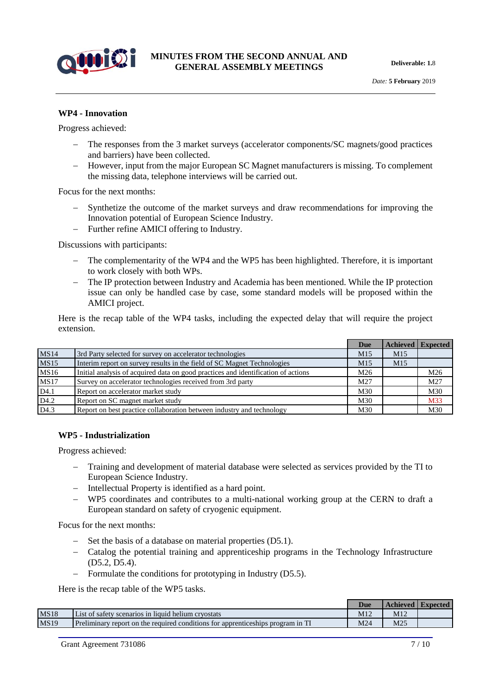

#### **WP4 - Innovation**

Progress achieved:

- The responses from the 3 market surveys (accelerator components/SC magnets/good practices and barriers) have been collected.
- However, input from the major European SC Magnet manufacturers is missing. To complement the missing data, telephone interviews will be carried out.

Focus for the next months:

- Synthetize the outcome of the market surveys and draw recommendations for improving the Innovation potential of European Science Industry.
- Further refine AMICI offering to Industry.

Discussions with participants:

- The complementarity of the WP4 and the WP5 has been highlighted. Therefore, it is important to work closely with both WPs.
- The IP protection between Industry and Academia has been mentioned. While the IP protection issue can only be handled case by case, some standard models will be proposed within the AMICI project.

Here is the recap table of the WP4 tasks, including the expected delay that will require the project extension.

|                  |                                                                                   | Due             |                 | <b>Achieved Expected</b> |
|------------------|-----------------------------------------------------------------------------------|-----------------|-----------------|--------------------------|
| <b>MS14</b>      | 3rd Party selected for survey on accelerator technologies                         | M <sub>15</sub> | M <sub>15</sub> |                          |
| <b>MS15</b>      | Interim report on survey results in the field of SC Magnet Technologies           | M <sub>15</sub> | M <sub>15</sub> |                          |
| <b>MS16</b>      | Initial analysis of acquired data on good practices and identification of actions | M26             |                 | M26                      |
| <b>MS17</b>      | Survey on accelerator technologies received from 3rd party                        | M27             |                 | M27                      |
| D <sub>4.1</sub> | Report on accelerator market study                                                | M30             |                 | M30                      |
| D <sub>4.2</sub> | Report on SC magnet market study                                                  | M30             |                 | M33                      |
| D4.3             | Report on best practice collaboration between industry and technology             | M30             |                 | M30                      |

#### **WP5 - Industrialization**

Progress achieved:

- Training and development of material database were selected as services provided by the TI to European Science Industry.
- Intellectual Property is identified as a hard point.
- WP5 coordinates and contributes to a multi-national working group at the CERN to draft a European standard on safety of cryogenic equipment.

Focus for the next months:

- $\sim$  Set the basis of a database on material properties (D5.1).
- Catalog the potential training and apprenticeship programs in the Technology Infrastructure (D5.2, D5.4).
- Formulate the conditions for prototyping in Industry (D5.5).

Here is the recap table of the WP5 tasks.

|             |                                                                                 | <b>Due</b> |     | <b>Achieved   Expected</b> |
|-------------|---------------------------------------------------------------------------------|------------|-----|----------------------------|
| <b>MS18</b> | List of safety scenarios in liquid helium cryostats                             | M12        | M12 |                            |
| <b>MS19</b> | Preliminary report on the required conditions for apprenticeships program in TI | M24        | M25 |                            |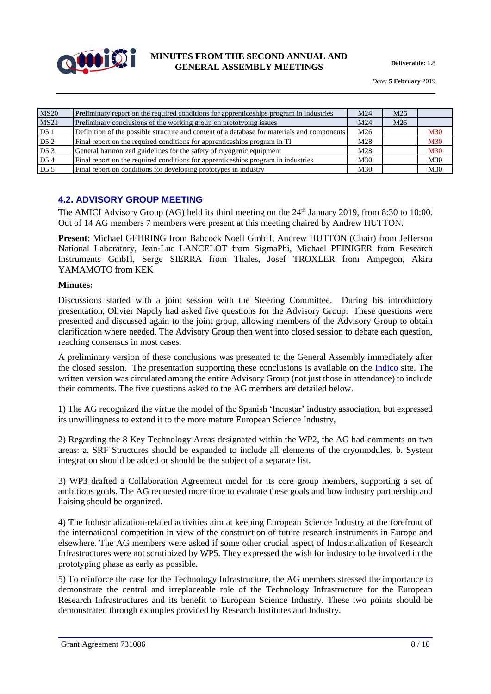

*Date:* **5 February** 2019

| <b>MS20</b>      | Preliminary report on the required conditions for apprenticeships program in industries     | M24             | M <sub>25</sub> |            |
|------------------|---------------------------------------------------------------------------------------------|-----------------|-----------------|------------|
| <b>MS21</b>      | Preliminary conclusions of the working group on prototyping issues                          | M <sub>24</sub> | M <sub>25</sub> |            |
| D5.1             | Definition of the possible structure and content of a database for materials and components | M26             |                 | <b>M30</b> |
| D5.2             | Final report on the required conditions for apprenticeships program in TI                   | M28             |                 | <b>M30</b> |
| D5.3             | General harmonized guidelines for the safety of cryogenic equipment                         | M28             |                 | <b>M30</b> |
| D <sub>5.4</sub> | Final report on the required conditions for apprenticeships program in industries           | M <sub>30</sub> |                 | M30        |
| D5.5             | Final report on conditions for developing prototypes in industry                            | M <sub>30</sub> |                 | M30        |

#### **4.2. ADVISORY GROUP MEETING**

The AMICI Advisory Group (AG) held its third meeting on the 24<sup>th</sup> January 2019, from 8:30 to 10:00. Out of 14 AG members 7 members were present at this meeting chaired by Andrew HUTTON.

**Present**: Michael GEHRING from Babcock Noell GmbH, Andrew HUTTON (Chair) from Jefferson National Laboratory, Jean-Luc LANCELOT from SigmaPhi, Michael PEINIGER from Research Instruments GmbH, Serge SIERRA from Thales, Josef TROXLER from Ampegon, Akira YAMAMOTO from KEK

#### **Minutes:**

Discussions started with a joint session with the Steering Committee. During his introductory presentation, Olivier Napoly had asked five questions for the Advisory Group. These questions were presented and discussed again to the joint group, allowing members of the Advisory Group to obtain clarification where needed. The Advisory Group then went into closed session to debate each question, reaching consensus in most cases.

A preliminary version of these conclusions was presented to the General Assembly immediately after the closed session. The presentation supporting these conclusions is available on the [Indico](https://agenda.infn.it/event/16918/contributions/34660/attachments/60221/71336/AMICI_Advisory_group_conclusions_1-24-2019.pdf) site. The written version was circulated among the entire Advisory Group (not just those in attendance) to include their comments. The five questions asked to the AG members are detailed below.

1) The AG recognized the virtue the model of the Spanish 'Ineustar' industry association, but expressed its unwillingness to extend it to the more mature European Science Industry,

2) Regarding the 8 Key Technology Areas designated within the WP2, the AG had comments on two areas: a. SRF Structures should be expanded to include all elements of the cryomodules. b. System integration should be added or should be the subject of a separate list.

3) WP3 drafted a Collaboration Agreement model for its core group members, supporting a set of ambitious goals. The AG requested more time to evaluate these goals and how industry partnership and liaising should be organized.

4) The Industrialization-related activities aim at keeping European Science Industry at the forefront of the international competition in view of the construction of future research instruments in Europe and elsewhere. The AG members were asked if some other crucial aspect of Industrialization of Research Infrastructures were not scrutinized by WP5. They expressed the wish for industry to be involved in the prototyping phase as early as possible.

5) To reinforce the case for the Technology Infrastructure, the AG members stressed the importance to demonstrate the central and irreplaceable role of the Technology Infrastructure for the European Research Infrastructures and its benefit to European Science Industry. These two points should be demonstrated through examples provided by Research Institutes and Industry.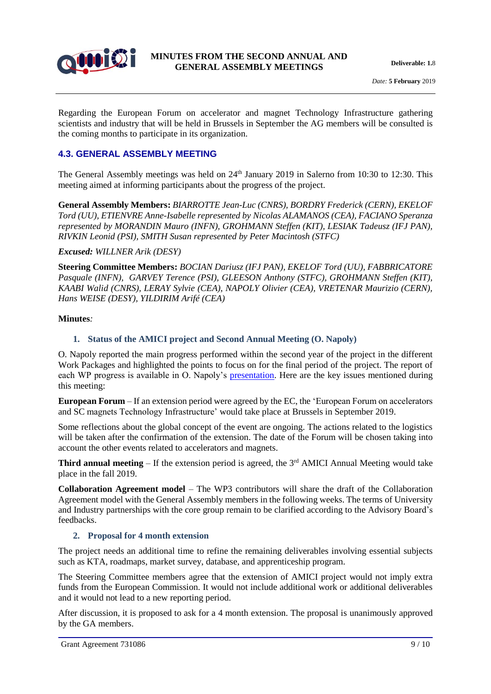

Regarding the European Forum on accelerator and magnet Technology Infrastructure gathering scientists and industry that will be held in Brussels in September the AG members will be consulted is the coming months to participate in its organization.

#### **4.3. GENERAL ASSEMBLY MEETING**

The General Assembly meetings was held on 24<sup>th</sup> January 2019 in Salerno from 10:30 to 12:30. This meeting aimed at informing participants about the progress of the project.

**General Assembly Members:** *BIARROTTE Jean-Luc (CNRS), BORDRY Frederick (CERN), EKELOF Tord (UU), ETIENVRE Anne-Isabelle represented by Nicolas ALAMANOS (CEA), FACIANO Speranza represented by MORANDIN Mauro (INFN), GROHMANN Steffen (KIT), LESIAK Tadeusz (IFJ PAN), RIVKIN Leonid (PSI), SMITH Susan represented by Peter Macintosh (STFC)*

#### *Excused: WILLNER Arik (DESY)*

**Steering Committee Members:** *BOCIAN Dariusz (IFJ PAN), EKELOF Tord (UU), FABBRICATORE Pasquale (INFN), GARVEY Terence (PSI), GLEESON Anthony (STFC), GROHMANN Steffen (KIT), KAABI Walid (CNRS), LERAY Sylvie (CEA), NAPOLY Olivier (CEA), VRETENAR Maurizio (CERN), Hans WEISE (DESY), YILDIRIM Arifé (CEA)*

#### **Minutes***:*

#### **1. Status of the AMICI project and Second Annual Meeting (O. Napoly)**

O. Napoly reported the main progress performed within the second year of the project in the different Work Packages and highlighted the points to focus on for the final period of the project. The report of each WP progress is available in O. Napoly's [presentation.](https://agenda.infn.it/event/16918/contributions/34661/attachments/60171/71203/AMICI_General_assembly_meeting_Napoly.pdf) Here are the key issues mentioned during this meeting:

**European Forum** – If an extension period were agreed by the EC, the 'European Forum on accelerators and SC magnets Technology Infrastructure' would take place at Brussels in September 2019.

Some reflections about the global concept of the event are ongoing. The actions related to the logistics will be taken after the confirmation of the extension. The date of the Forum will be chosen taking into account the other events related to accelerators and magnets.

**Third annual meeting** – If the extension period is agreed, the 3<sup>rd</sup> AMICI Annual Meeting would take place in the fall 2019.

**Collaboration Agreement model** – The WP3 contributors will share the draft of the Collaboration Agreement model with the General Assembly members in the following weeks. The terms of University and Industry partnerships with the core group remain to be clarified according to the Advisory Board's feedbacks.

#### **2. Proposal for 4 month extension**

The project needs an additional time to refine the remaining deliverables involving essential subjects such as KTA, roadmaps, market survey, database, and apprenticeship program.

The Steering Committee members agree that the extension of AMICI project would not imply extra funds from the European Commission. It would not include additional work or additional deliverables and it would not lead to a new reporting period.

After discussion, it is proposed to ask for a 4 month extension. The proposal is unanimously approved by the GA members.